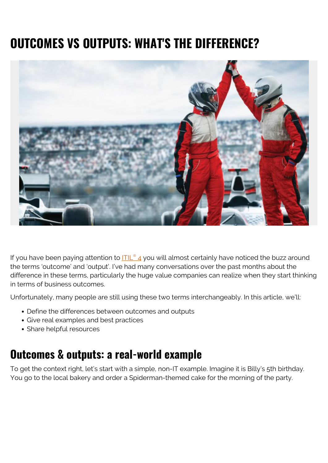# **OUTCOMES VS OUTPUTS: WHAT'S THE DIFFERENCE?**



If you have been paying attention to  $\underline{ITL^{\otimes}}$  [4](https://blogs.bmc.com/blogs/itil-4/) you will almost certainly have noticed the buzz around the terms 'outcome' and 'output'. I've had many conversations over the past months about the difference in these terms, particularly the huge value companies can realize when they start thinking in terms of business outcomes.

Unfortunately, many people are still using these two terms interchangeably. In this article, we'll:

- Define the differences between outcomes and outputs
- Give real examples and best practices
- Share helpful resources

### **Outcomes & outputs: a real-world example**

To get the context right, let's start with a simple, non-IT example. Imagine it is Billy's 5th birthday. You go to the local bakery and order a Spiderman-themed cake for the morning of the party.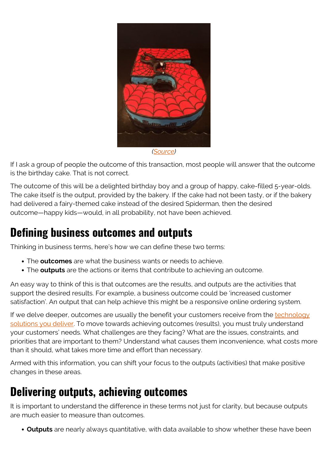

If I ask a group of people the outcome of this transaction, most people will answer that the outcome is the birthday cake. That is not correct.

The outcome of this will be a delighted birthday boy and a group of happy, cake-filled 5-year-olds. The cake itself is the output, provided by the bakery. If the cake had not been tasty, or if the bakery had delivered a fairy-themed cake instead of the desired Spiderman, then the desired outcome—happy kids—would, in all probability, not have been achieved.

# **Defining business outcomes and outputs**

Thinking in business terms, here's how we can define these two terms:

- The **outcomes** are what the business wants or needs to achieve.
- The **outputs** are the actions or items that contribute to achieving an outcome.

An easy way to think of this is that outcomes are the results, and outputs are the activities that support the desired results. For example, a business outcome could be 'increased customer satisfaction'. An output that can help achieve this might be a responsive online ordering system.

If we delve deeper, outcomes are usually the benefit your customers receive from the [technology](https://blogs.bmc.com/blogs/it-service/) [solutions you deliver.](https://blogs.bmc.com/blogs/it-service/) To move towards achieving outcomes (results), you must truly understand your customers' needs. What challenges are they facing? What are the issues, constraints, and priorities that are important to them? Understand what causes them inconvenience, what costs more than it should, what takes more time and effort than necessary.

Armed with this information, you can shift your focus to the outputs (activities) that make positive changes in these areas.

### **Delivering outputs, achieving outcomes**

It is important to understand the difference in these terms not just for clarity, but because outputs are much easier to measure than outcomes.

**Outputs** are nearly always quantitative, with data available to show whether these have been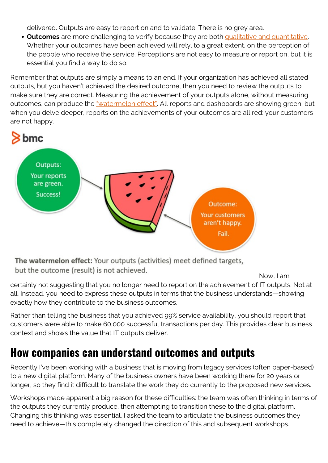delivered. Outputs are easy to report on and to validate. There is no grey area.

**Outcomes** are more challenging to verify because they are both [qualitative and quantitative.](https://www.sysaid.com/blog/entry/the-difference-between-outcomes-and-outputs-makes-a-difference) Whether your outcomes have been achieved will rely, to a great extent, on the perception of the people who receive the service. Perceptions are not easy to measure or report on, but it is essential you find a way to do so.

Remember that outputs are simply a means to an end. If your organization has achieved all stated outputs, but you haven't achieved the desired outcome, then you need to review the outputs to make sure they are correct. Measuring the achievement of your outputs alone, without measuring outcomes, can produce the ["watermelon effect"](https://blogs.bmc.com/blogs/itil-service-level-management/). All reports and dashboards are showing green, but when you delve deeper, reports on the achievements of your outcomes are all red: your customers are not happy.



The watermelon effect: Your outputs (activities) meet defined targets, but the outcome (result) is not achieved.

Now, I am

certainly not suggesting that you no longer need to report on the achievement of IT outputs. Not at all. Instead, you need to express these outputs in terms that the business understands—showing exactly how they contribute to the business outcomes.

Rather than telling the business that you achieved 99% service availability, you should report that customers were able to make 60,000 successful transactions per day. This provides clear business context and shows the value that IT outputs deliver.

# **How companies can understand outcomes and outputs**

Recently I've been working with a business that is moving from legacy services (often paper-based) to a new digital platform. Many of the business owners have been working there for 20 years or longer, so they find it difficult to translate the work they do currently to the proposed new services.

Workshops made apparent a big reason for these difficulties: the team was often thinking in terms of the outputs they currently produce, then attempting to transition these to the digital platform. Changing this thinking was essential. I asked the team to articulate the business outcomes they need to achieve—this completely changed the direction of this and subsequent workshops.